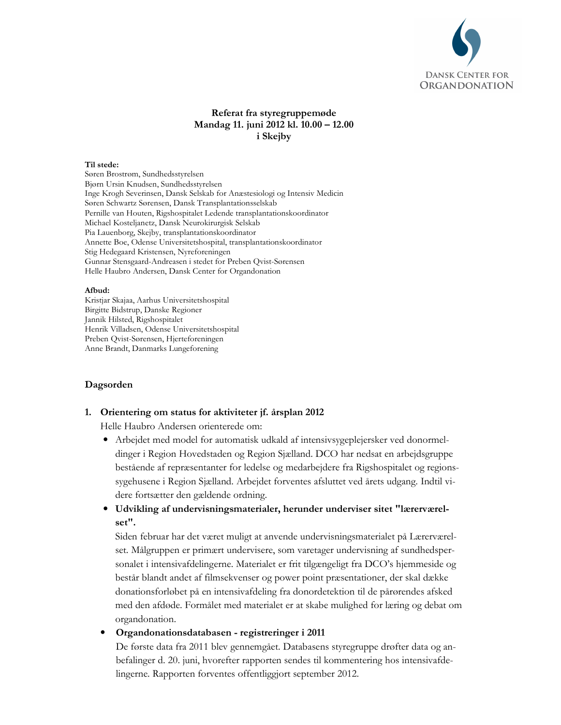

# Referat fra styregruppemøde Mandag 11. juni 2012 kl. 10.00 - 12.00 i Skejby

### Til stede:

Søren Brostrøm, Sundhedsstyrelsen Bjørn Ursin Knudsen, Sundhedsstyrelsen Inge Krogh Severinsen, Dansk Selskab for Anæstesiologi og Intensiv Medicin Søren Schwartz Sørensen, Dansk Transplantationsselskab Pernille van Houten, Rigshospitalet Ledende transplantationskoordinator Michael Kosteljanetz, Dansk Neurokirurgisk Selskab Pia Lauenborg, Skejby, transplantationskoordinator Annette Boe, Odense Universitetshospital, transplantationskoordinator Stig Hedegaard Kristensen, Nyreforeningen Gunnar Stensgaard-Andreasen i stedet for Preben Qvist-Sørensen Helle Haubro Andersen, Dansk Center for Organdonation

### Afbud:

Kristjar Skajaa, Aarhus Universitetshospital Birgitte Bidstrup, Danske Regioner Jannik Hilsted, Rigshospitalet Henrik Villadsen, Odense Universitetshospital Preben Ovist-Sørensen, Hjerteforeningen Anne Brandt, Danmarks Lungeforening

### Dagsorden

### 1. Orientering om status for aktiviteter jf. årsplan 2012

Helle Haubro Andersen orienterede om:

- Arbejdet med model for automatisk udkald af intensivsygeplejersker ved donormeldinger i Region Hovedstaden og Region Sjælland. DCO har nedsat en arbejdsgruppe bestående af repræsentanter for ledelse og medarbejdere fra Rigshospitalet og regionssygehusene i Region Sjælland. Arbejdet forventes afsluttet ved årets udgang. Indtil videre fortsætter den gældende ordning.
- Udvikling af undervisningsmaterialer, herunder underviser sitet "lærerværelset".

Siden februar har det været muligt at anvende undervisningsmaterialet på Lærerværelset. Målgruppen er primært undervisere, som varetager undervisning af sundhedspersonalet i intensivafdelingerne. Materialet er frit tilgængeligt fra DCO's hjemmeside og består blandt andet af filmsekvenser og power point præsentationer, der skal dække donationsforløbet på en intensivafdeling fra donordetektion til de pårørendes afsked med den afdøde. Formålet med materialet er at skabe mulighed for læring og debat om organdonation.

 $\bullet$ Organdonationsdatabasen - registreringer i 2011

De første data fra 2011 blev gennemgået. Databasens styregruppe drøfter data og anbefalinger d. 20. juni, hvorefter rapporten sendes til kommentering hos intensivafdelingerne. Rapporten forventes offentliggjort september 2012.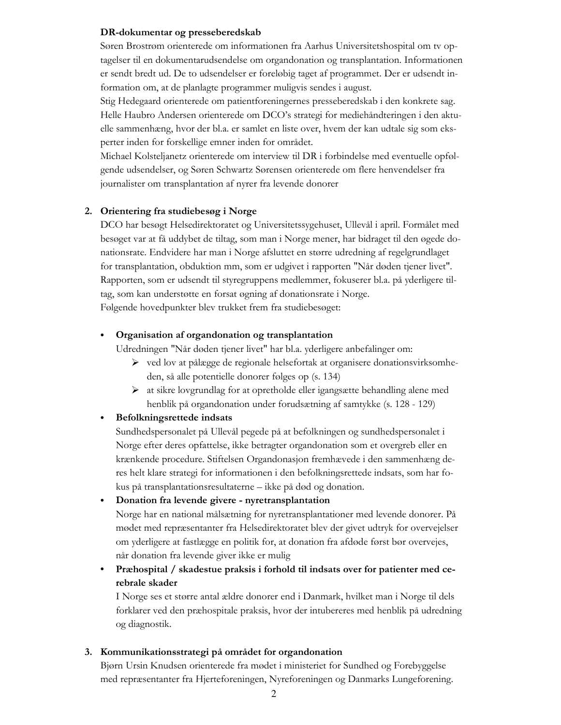### DR-dokumentar og presseberedskab

Søren Brostrøm orienterede om informationen fra Aarhus Universitetshospital om tv optagelser til en dokumentarudsendelse om organdonation og transplantation. Informationen er sendt bredt ud. De to udsendelser er foreløbig taget af programmet. Der er udsendt information om, at de planlagte programmer muligvis sendes i august.

Stig Hedegaard orienterede om patientforeningernes presseberedskab i den konkrete sag. Helle Haubro Andersen orienterede om DCO's strategi for mediehåndteringen i den aktuelle sammenhæng, hvor der bl.a. er samlet en liste over, hvem der kan udtale sig som eksperter inden for forskellige emner inden for området.

Michael Kolsteljanetz orienterede om interview til DR i forbindelse med eventuelle opfølgende udsendelser, og Søren Schwartz Sørensen orienterede om flere henvendelser fra journalister om transplantation af nyrer fra levende donorer

## 2. Orientering fra studiebesøg i Norge

DCO har besøgt Helsedirektoratet og Universitetssygehuset, Ullevål i april. Formålet med besøget var at få uddybet de tiltag, som man i Norge mener, har bidraget til den øgede donationsrate. Endvidere har man i Norge afsluttet en større udredning af regelgrundlaget for transplantation, obduktion mm, som er udgivet i rapporten "Når døden tjener livet". Rapporten, som er udsendt til styregruppens medlemmer, fokuserer bl.a. på yderligere tiltag, som kan understøtte en forsat øgning af donationsrate i Norge. Følgende hovedpunkter blev trukket frem fra studiebesøget:

#### $\bullet$ Organisation af organdonation og transplantation

Udredningen "Når døden tjener livet" har bl.a. yderligere anbefalinger om:

- > ved lov at pålægge de regionale helsefortak at organisere donationsvirksomheden, så alle potentielle donorer følges op (s. 134)
- igangs at sikre lovgrundlag for at opretholde eller igangs atte behandling alene med henblik på organdonation under forudsætning af samtykke (s. 128 - 129)

#### Befolkningsrettede indsats  $\bullet$

Sundhedspersonalet på Ullevål pegede på at befolkningen og sundhedspersonalet i Norge efter deres opfattelse, ikke betragter organdonation som et overgreb eller en krænkende procedure. Stiftelsen Organdonasjon fremhævede i den sammenhæng deres helt klare strategi for informationen i den befolkningsrettede indsats, som har fokus på transplantationsresultaterne – ikke på død og donation.

### Donation fra levende givere - nyretransplantation

Norge har en national målsætning for nyretransplantationer med levende donorer. På mødet med repræsentanter fra Helsedirektoratet blev der givet udtryk for overvejelser om yderligere at fastlægge en politik for, at donation fra afdøde først bør overvejes, når donation fra levende giver ikke er mulig

# Præhospital / skadestue praksis i forhold til indsats over for patienter med cerebrale skader

I Norge ses et større antal ældre donorer end i Danmark, hvilket man i Norge til dels forklarer ved den præhospitale praksis, hvor der intubereres med henblik på udredning og diagnostik.

### 3. Kommunikationsstrategi på området for organdonation

Bjørn Ursin Knudsen orienterede fra mødet i ministeriet for Sundhed og Forebyggelse med repræsentanter fra Hjerteforeningen, Nyreforeningen og Danmarks Lungeforening.